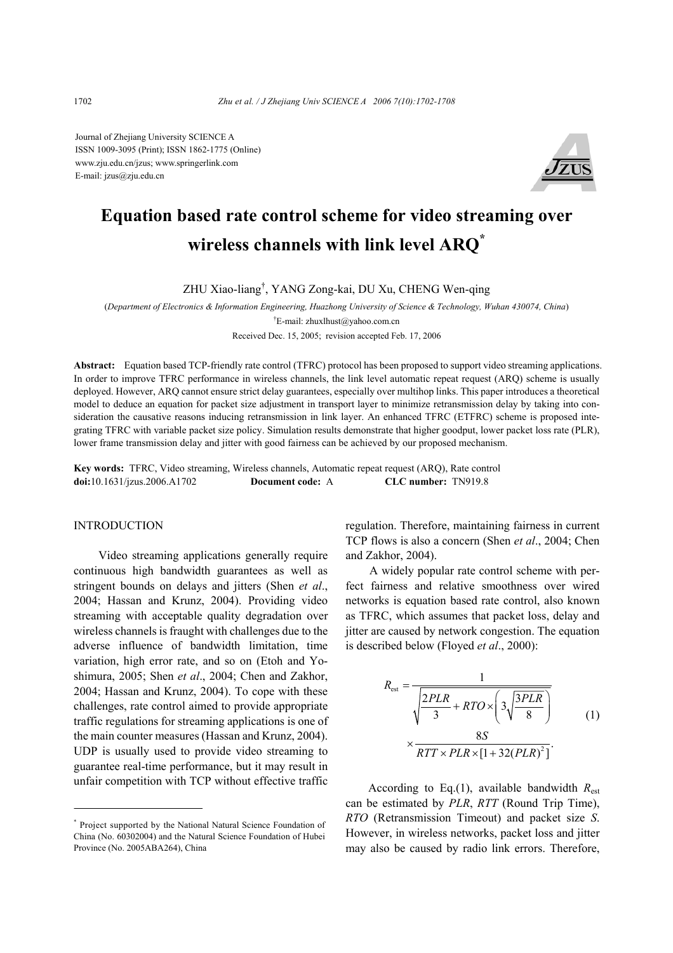Journal of Zhejiang University SCIENCE A ISSN 1009-3095 (Print); ISSN 1862-1775 (Online) www.zju.edu.cn/jzus; www.springerlink.com E-mail: jzus@zju.edu.cn



# **Equation based rate control scheme for video streaming over wireless channels with link level ARQ\***

ZHU Xiao-liang† , YANG Zong-kai, DU Xu, CHENG Wen-qing

(*Department of Electronics & Information Engineering, Huazhong University of Science & Technology, Wuhan 430074, China*)

† E-mail: zhuxlhust@yahoo.com.cn

Received Dec. 15, 2005; revision accepted Feb. 17, 2006

**Abstract:** Equation based TCP-friendly rate control (TFRC) protocol has been proposed to support video streaming applications. In order to improve TFRC performance in wireless channels, the link level automatic repeat request (ARQ) scheme is usually deployed. However, ARQ cannot ensure strict delay guarantees, especially over multihop links. This paper introduces a theoretical model to deduce an equation for packet size adjustment in transport layer to minimize retransmission delay by taking into consideration the causative reasons inducing retransmission in link layer. An enhanced TFRC (ETFRC) scheme is proposed integrating TFRC with variable packet size policy. Simulation results demonstrate that higher goodput, lower packet loss rate (PLR), lower frame transmission delay and jitter with good fairness can be achieved by our proposed mechanism.

**Key words:** TFRC, Video streaming, Wireless channels, Automatic repeat request (ARQ), Rate control **doi:**10.1631/jzus.2006.A1702 **Document code:** A **CLC number:** TN919.8

## INTRODUCTION

Video streaming applications generally require continuous high bandwidth guarantees as well as stringent bounds on delays and jitters (Shen *et al*., 2004; Hassan and Krunz, 2004). Providing video streaming with acceptable quality degradation over wireless channels is fraught with challenges due to the adverse influence of bandwidth limitation, time variation, high error rate, and so on (Etoh and Yoshimura, 2005; Shen *et al*., 2004; Chen and Zakhor, 2004; Hassan and Krunz, 2004). To cope with these challenges, rate control aimed to provide appropriate traffic regulations for streaming applications is one of the main counter measures (Hassan and Krunz, 2004). UDP is usually used to provide video streaming to guarantee real-time performance, but it may result in unfair competition with TCP without effective traffic

\* Project supported by the National Natural Science Foundation of China (No. 60302004) and the Natural Science Foundation of Hubei Province (No. 2005ABA264), China

regulation. Therefore, maintaining fairness in current TCP flows is also a concern (Shen *et al*., 2004; Chen and Zakhor, 2004).

A widely popular rate control scheme with perfect fairness and relative smoothness over wired networks is equation based rate control, also known as TFRC, which assumes that packet loss, delay and jitter are caused by network congestion. The equation is described below (Floyed *et al*., 2000):

$$
R_{\text{est}} = \frac{1}{\sqrt{\frac{2PLR}{3} + RTO \times \left(3\sqrt{\frac{3PLR}{8}}\right)}}
$$
  
 
$$
\times \frac{8S}{RTT \times PLR \times \left[1 + 32(PLR)^{2}\right]}.
$$
 (1)

According to Eq.(1), available bandwidth  $R_{\text{est}}$ can be estimated by *PLR*, *RTT* (Round Trip Time), *RTO* (Retransmission Timeout) and packet size *S*. However, in wireless networks, packet loss and jitter may also be caused by radio link errors. Therefore,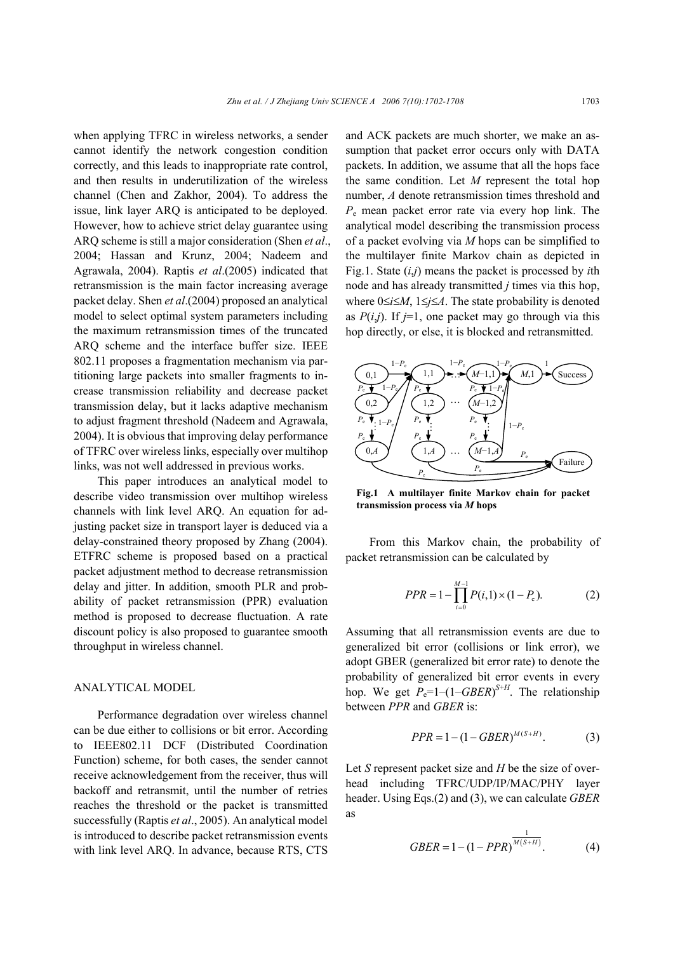when applying TFRC in wireless networks, a sender cannot identify the network congestion condition correctly, and this leads to inappropriate rate control, and then results in underutilization of the wireless channel (Chen and Zakhor, 2004). To address the issue, link layer ARQ is anticipated to be deployed. However, how to achieve strict delay guarantee using ARQ scheme is still a major consideration (Shen *et al*., 2004; Hassan and Krunz, 2004; Nadeem and Agrawala, 2004). Raptis *et al*.(2005) indicated that retransmission is the main factor increasing average packet delay. Shen *et al*.(2004) proposed an analytical model to select optimal system parameters including the maximum retransmission times of the truncated ARQ scheme and the interface buffer size. IEEE 802.11 proposes a fragmentation mechanism via partitioning large packets into smaller fragments to increase transmission reliability and decrease packet transmission delay, but it lacks adaptive mechanism to adjust fragment threshold (Nadeem and Agrawala, 2004). It is obvious that improving delay performance of TFRC over wireless links, especially over multihop links, was not well addressed in previous works.

This paper introduces an analytical model to describe video transmission over multihop wireless channels with link level ARQ. An equation for adjusting packet size in transport layer is deduced via a delay-constrained theory proposed by Zhang (2004). ETFRC scheme is proposed based on a practical packet adjustment method to decrease retransmission delay and jitter. In addition, smooth PLR and probability of packet retransmission (PPR) evaluation method is proposed to decrease fluctuation. A rate discount policy is also proposed to guarantee smooth throughput in wireless channel.

### ANALYTICAL MODEL

Performance degradation over wireless channel can be due either to collisions or bit error. According to IEEE802.11 DCF (Distributed Coordination Function) scheme, for both cases, the sender cannot receive acknowledgement from the receiver, thus will backoff and retransmit, until the number of retries reaches the threshold or the packet is transmitted successfully (Raptis *et al*., 2005). An analytical model is introduced to describe packet retransmission events with link level ARQ. In advance, because RTS, CTS

and ACK packets are much shorter, we make an assumption that packet error occurs only with DATA packets. In addition, we assume that all the hops face the same condition. Let *M* represent the total hop number, *A* denote retransmission times threshold and *P*<sup>e</sup> mean packet error rate via every hop link. The analytical model describing the transmission process of a packet evolving via *M* hops can be simplified to the multilayer finite Markov chain as depicted in Fig.1. State (*i*,*j*) means the packet is processed by *i*th node and has already transmitted *j* times via this hop, where 0≤*i*≤*M*, 1≤*j*≤*A*. The state probability is denoted as  $P(i,j)$ . If  $j=1$ , one packet may go through via this hop directly, or else, it is blocked and retransmitted.



**Fig.1 A multilayer finite Markov chain for packet transmission process via** *M* **hops** 

From this Markov chain, the probability of packet retransmission can be calculated by

$$
PPR = 1 - \prod_{i=0}^{M-1} P(i,1) \times (1 - P_e).
$$
 (2)

Assuming that all retransmission events are due to generalized bit error (collisions or link error), we adopt GBER (generalized bit error rate) to denote the probability of generalized bit error events in every hop. We get  $P_e=1-(1-GBER)^{S+H}$ . The relationship between *PPR* and *GBER* is:

$$
PPR = 1 - (1 - GBER)^{M(S+H)}.
$$
 (3)

Let *S* represent packet size and *H* be the size of overhead including TFRC/UDP/IP/MAC/PHY layer header. Using Eqs.(2) and (3), we can calculate *GBER* as

$$
GBER = 1 - (1 - PPR)^{\frac{1}{M(S+H)}}.
$$
 (4)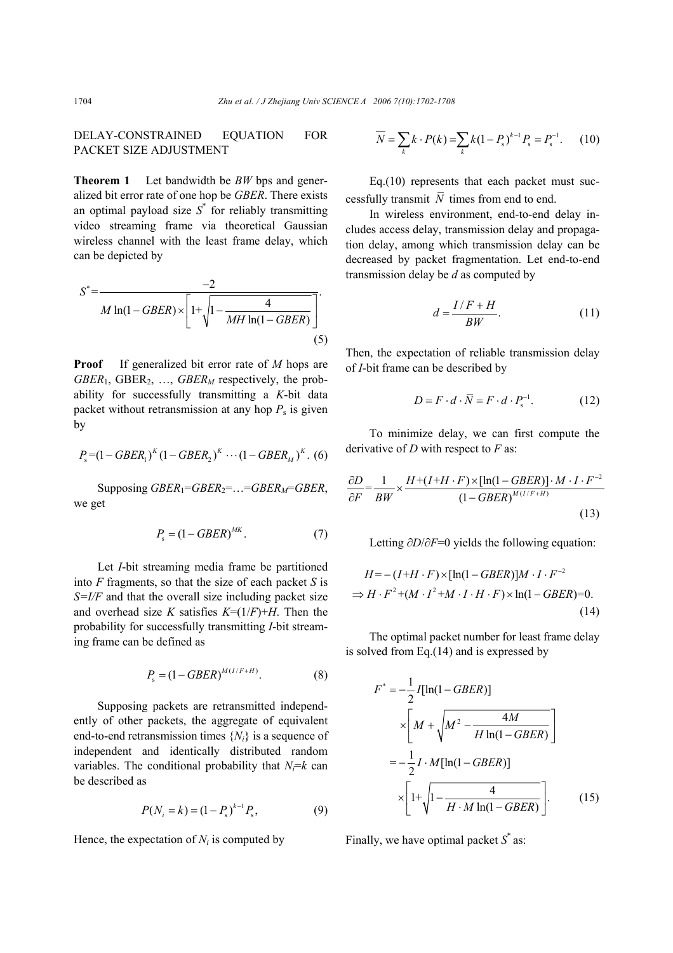DELAY-CONSTRAINED EQUATION FOR PACKET SIZE ADJUSTMENT

**Theorem 1** Let bandwidth be *BW* bps and generalized bit error rate of one hop be *GBER*. There exists an optimal payload size  $S^*$  for reliably transmitting video streaming frame via theoretical Gaussian wireless channel with the least frame delay, which can be depicted by

$$
S^* = \frac{-2}{M \ln(1 - GBER) \times \left[1 + \sqrt{1 - \frac{4}{MH \ln(1 - GBER)}}\right]}}.
$$
\n(5)

**Proof** If generalized bit error rate of *M* hops are *GBER*<sub>1</sub>, *GBER*<sub>2</sub>, ..., *GBER<sub>M</sub>* respectively, the probability for successfully transmitting a *K*-bit data packet without retransmission at any hop  $P_s$  is given by

$$
P_{s}=(1-GBER_{1})^{K}(1-GBER_{2})^{K}\cdots(1-GBER_{M})^{K}. (6)
$$

Supposing *GBER*1=*GBER*2=…=*GBERM*=*GBER*, we get

$$
P_{\rm s} = (1 - GBER)^{MK}.\tag{7}
$$

Let *I*-bit streaming media frame be partitioned into *F* fragments, so that the size of each packet *S* is *S=I/F* and that the overall size including packet size and overhead size *K* satisfies  $K=(1/F)+H$ . Then the probability for successfully transmitting *I*-bit streaming frame can be defined as

$$
P_{\rm s} = (1 - GBER)^{M(I/F + H)}.\t(8)
$$

Supposing packets are retransmitted independently of other packets, the aggregate of equivalent end-to-end retransmission times {*Ni*} is a sequence of independent and identically distributed random variables. The conditional probability that  $N_i = k$  can be described as

$$
P(N_i = k) = (1 - P_s)^{k-1} P_s,
$$
\n(9)

Hence, the expectation of  $N_i$  is computed by

$$
\overline{N} = \sum_{k} k \cdot P(k) = \sum_{k} k(1 - P_{s})^{k-1} P_{s} = P_{s}^{-1}.
$$
 (10)

Eq.(10) represents that each packet must successfully transmit  $\overline{N}$  times from end to end.

In wireless environment, end-to-end delay includes access delay, transmission delay and propagation delay, among which transmission delay can be decreased by packet fragmentation. Let end-to-end transmission delay be *d* as computed by

$$
d = \frac{I/F + H}{BW}.\tag{11}
$$

Then, the expectation of reliable transmission delay of *I*-bit frame can be described by

$$
D = F \cdot d \cdot \overline{N} = F \cdot d \cdot P_{s}^{-1}.
$$
 (12)

To minimize delay, we can first compute the derivative of *D* with respect to *F* as:

$$
\frac{\partial D}{\partial F} = \frac{1}{BW} \times \frac{H + (I + H \cdot F) \times [\ln(1 - GBER)] \cdot M \cdot I \cdot F^{-2}}{(1 - GBER)^{M(I/F + H)}}
$$
(13)

Letting ∂*D*/∂*F*=0 yields the following equation:

$$
H = -(I+H \cdot F) \times [\ln(1 - GBER)]M \cdot I \cdot F^{-2}
$$
  
\n
$$
\Rightarrow H \cdot F^2 + (M \cdot I^2 + M \cdot I \cdot H \cdot F) \times \ln(1 - GBER) = 0.
$$
\n(14)

The optimal packet number for least frame delay is solved from Eq.(14) and is expressed by

$$
F^* = -\frac{1}{2}I[\ln(1 - GBER)]
$$
  
\n
$$
\times \left[ M + \sqrt{M^2 - \frac{4M}{H\ln(1 - GBER)}} \right]
$$
  
\n
$$
= -\frac{1}{2}I \cdot M[\ln(1 - GBER)]
$$
  
\n
$$
\times \left[ 1 + \sqrt{1 - \frac{4}{H \cdot M\ln(1 - GBER)}} \right].
$$
 (15)

Finally, we have optimal packet  $S^*$  as: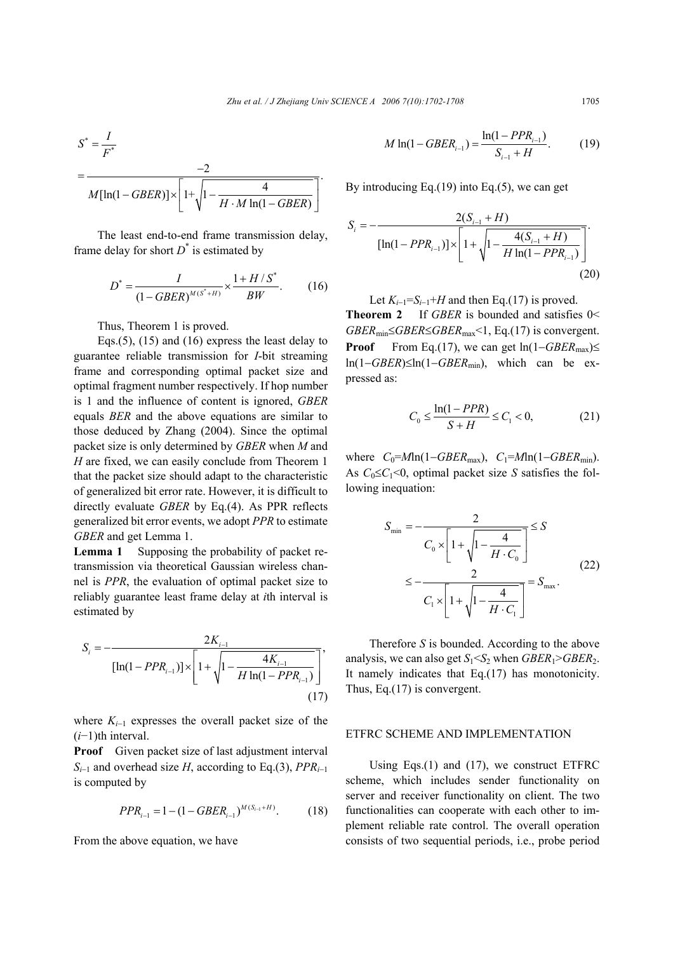$$
S^* = \frac{I}{F^*}
$$
  
= 
$$
\frac{-2}{M[\ln(1 - GBER)] \times \left[1 + \sqrt{1 - \frac{4}{H \cdot M \ln(1 - GBER)}}\right]}.
$$

The least end-to-end frame transmission delay, frame delay for short  $D^*$  is estimated by

$$
D^* = \frac{I}{(1 - GBER)^{M(S^* + H)}} \times \frac{1 + H/S^*}{BW}.
$$
 (16)

Thus, Theorem 1 is proved.

Eqs.(5), (15) and (16) express the least delay to guarantee reliable transmission for *I*-bit streaming frame and corresponding optimal packet size and optimal fragment number respectively. If hop number is 1 and the influence of content is ignored, *GBER* equals *BER* and the above equations are similar to those deduced by Zhang (2004). Since the optimal packet size is only determined by *GBER* when *M* and *H* are fixed, we can easily conclude from Theorem 1 that the packet size should adapt to the characteristic of generalized bit error rate. However, it is difficult to directly evaluate *GBER* by Eq.(4). As PPR reflects generalized bit error events, we adopt *PPR* to estimate *GBER* and get Lemma 1.

**Lemma 1** Supposing the probability of packet retransmission via theoretical Gaussian wireless channel is *PPR*, the evaluation of optimal packet size to reliably guarantee least frame delay at *i*th interval is estimated by

$$
S_{i} = -\frac{2K_{i-1}}{\left[\ln(1 - PPR_{i-1})\right] \times \left[1 + \sqrt{1 - \frac{4K_{i-1}}{H \ln(1 - PPR_{i-1})}}\right]},
$$
\n(17)

where *Ki*−1 expresses the overall packet size of the (*i*−1)th interval.

**Proof** Given packet size of last adjustment interval *Si*−1 and overhead size *H*, according to Eq.(3), *PPRi*<sup>−</sup><sup>1</sup> is computed by

$$
PPR_{i-1} = 1 - (1 - GBER_{i-1})^{M(S_{i-1} + H)}.
$$
 (18)

From the above equation, we have

$$
M \ln(1 - GBER_{i-1}) = \frac{\ln(1 - PPR_{i-1})}{S_{i-1} + H}.
$$
 (19)

By introducing Eq.(19) into Eq.(5), we can get

$$
S_{i} = -\frac{2(S_{i-1} + H)}{\left[\ln(1 - PPR_{i-1})\right] \times \left[1 + \sqrt{1 - \frac{4(S_{i-1} + H)}{H \ln(1 - PPR_{i-1})}}\right]}.
$$
\n(20)

Let  $K_{i-1} = S_{i-1} + H$  and then Eq.(17) is proved. **Theorem 2** If *GBER* is bounded and satisfies 0< *GBER*<sub>min</sub>≤*GBER*≤*GBER*<sub>max</sub> < 1, Eq.(17) is convergent. **Proof** From Eq.(17), we can get  $ln(1 - GBER_{max}) \le$ ln(1−*GBER*)≤ln(1−*GBER*min), which can be expressed as:

$$
C_0 \le \frac{\ln(1 - PPR)}{S + H} \le C_1 < 0,\tag{21}
$$

where  $C_0 = M \ln(1 - GBER_{\text{max}})$ ,  $C_1 = M \ln(1 - GBER_{\text{min}})$ . As  $C_0 \leq C_1 \leq 0$ , optimal packet size *S* satisfies the following inequation:

$$
S_{\min} = -\frac{2}{C_0 \times \left[1 + \sqrt{1 - \frac{4}{H \cdot C_0}}\right]} \leq S
$$
  

$$
\leq -\frac{2}{C_1 \times \left[1 + \sqrt{1 - \frac{4}{H \cdot C_1}}\right]} = S_{\max}.
$$
 (22)

Therefore *S* is bounded. According to the above analysis, we can also get  $S_1 < S_2$  when  $GBER_1 > GBER_2$ . It namely indicates that Eq.(17) has monotonicity. Thus, Eq.(17) is convergent.

#### ETFRC SCHEME AND IMPLEMENTATION

Using Eqs.(1) and (17), we construct ETFRC scheme, which includes sender functionality on server and receiver functionality on client. The two functionalities can cooperate with each other to implement reliable rate control. The overall operation consists of two sequential periods, i.e., probe period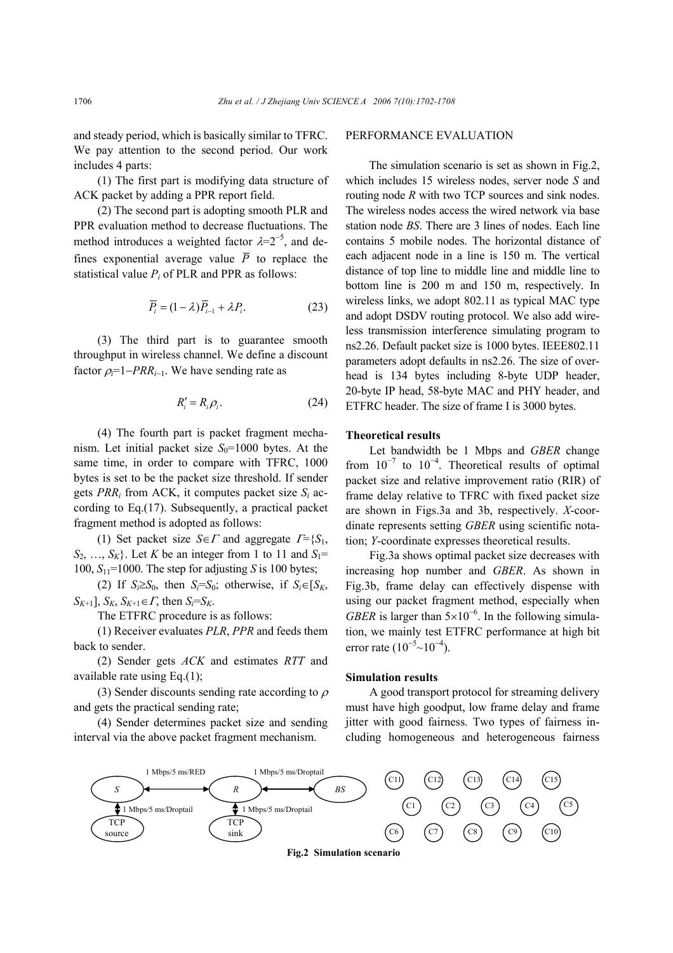and steady period, which is basically similar to TFRC. We pay attention to the second period. Our work includes 4 parts:

(1) The first part is modifying data structure of ACK packet by adding a PPR report field.

(2) The second part is adopting smooth PLR and PPR evaluation method to decrease fluctuations. The method introduces a weighted factor  $\lambda = 2^{-5}$ , and defines exponential average value  $\overline{P}$  to replace the statistical value  $P_i$  of PLR and PPR as follows:

$$
\overline{P}_i = (1 - \lambda)\overline{P}_{i-1} + \lambda P_i.
$$
 (23)

(3) The third part is to guarantee smooth throughput in wireless channel. We define a discount factor  $\rho_i$ =1−*PRR*<sub>*i*−1</sub>. We have sending rate as

$$
R_i' = R_i \rho_i. \tag{24}
$$

(4) The fourth part is packet fragment mechanism. Let initial packet size  $S_0$ =1000 bytes. At the same time, in order to compare with TFRC, 1000 bytes is set to be the packet size threshold. If sender gets *PRRi* from ACK, it computes packet size *Si* according to Eq.(17). Subsequently, a practical packet fragment method is adopted as follows:

(1) Set packet size *S*∈*Γ* and aggregate  $\Gamma = \{S_1, S_2, \ldots, S_n\}$  $S_2, \ldots, S_k$ . Let *K* be an integer from 1 to 11 and  $S_1$ = 100,  $S_{11}$ =1000. The step for adjusting *S* is 100 bytes;

(2) If  $S_i \geq S_0$ , then  $S_i = S_0$ ; otherwise, if  $S_i \in [S_K,$  $S_{K+1}$ ,  $S_{K}$ ,  $S_{K+1} \in \Gamma$ , then  $S_i = S_{K}$ .

The ETFRC procedure is as follows:

(1) Receiver evaluates *PLR*, *PPR* and feeds them back to sender.

(2) Sender gets *ACK* and estimates *RTT* and available rate using Eq.(1);

(3) Sender discounts sending rate according to  $\rho$ and gets the practical sending rate;

(4) Sender determines packet size and sending interval via the above packet fragment mechanism.

#### PERFORMANCE EVALUATION

The simulation scenario is set as shown in Fig.2, which includes 15 wireless nodes, server node *S* and routing node *R* with two TCP sources and sink nodes. The wireless nodes access the wired network via base station node *BS*. There are 3 lines of nodes. Each line contains 5 mobile nodes. The horizontal distance of each adjacent node in a line is 150 m. The vertical distance of top line to middle line and middle line to bottom line is 200 m and 150 m, respectively. In wireless links, we adopt 802.11 as typical MAC type and adopt DSDV routing protocol. We also add wireless transmission interference simulating program to ns2.26. Default packet size is 1000 bytes. IEEE802.11 parameters adopt defaults in ns2.26. The size of overhead is 134 bytes including 8-byte UDP header, 20-byte IP head, 58-byte MAC and PHY header, and ETFRC header. The size of frame I is 3000 bytes.

#### **Theoretical results**

Let bandwidth be 1 Mbps and *GBER* change from  $10^{-7}$  to  $10^{-4}$ . Theoretical results of optimal packet size and relative improvement ratio (RIR) of frame delay relative to TFRC with fixed packet size are shown in Figs.3a and 3b, respectively. *X*-coordinate represents setting *GBER* using scientific notation; *Y*-coordinate expresses theoretical results.

Fig.3a shows optimal packet size decreases with increasing hop number and *GBER*. As shown in Fig.3b, frame delay can effectively dispense with using our packet fragment method, especially when *GBER* is larger than  $5 \times 10^{-6}$ . In the following simulation, we mainly test ETFRC performance at high bit error rate  $(10^{-5} \sim 10^{-4})$ .

#### **Simulation results**

A good transport protocol for streaming delivery must have high goodput, low frame delay and frame jitter with good fairness. Two types of fairness including homogeneous and heterogeneous fairness

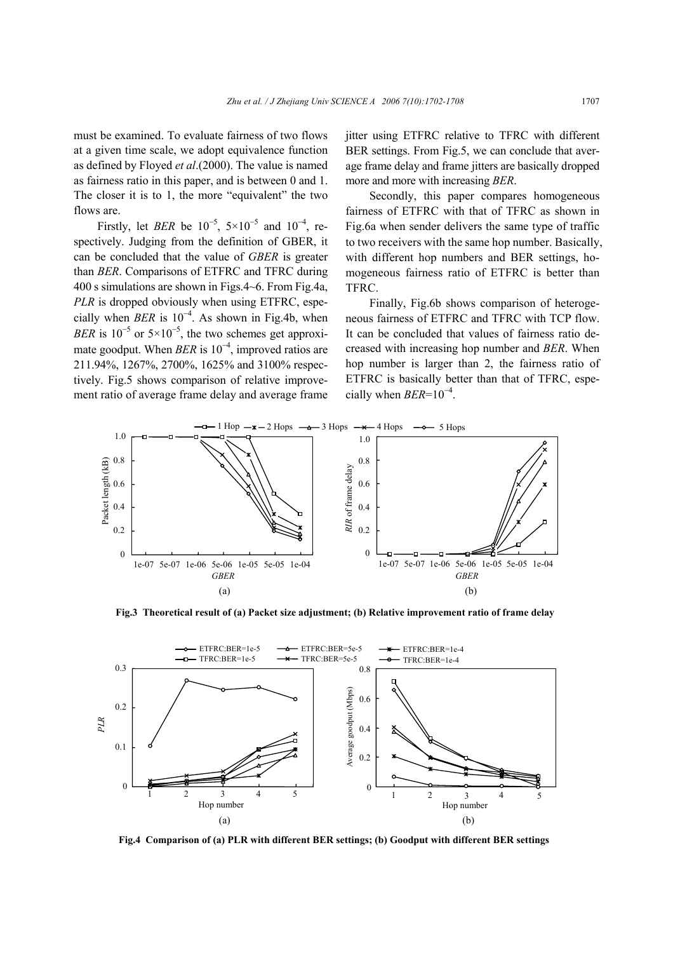must be examined. To evaluate fairness of two flows at a given time scale, we adopt equivalence function as defined by Floyed *et al*.(2000). The value is named as fairness ratio in this paper, and is between 0 and 1. The closer it is to 1, the more "equivalent" the two flows are.

Firstly, let *BER* be  $10^{-5}$ ,  $5 \times 10^{-5}$  and  $10^{-4}$ , respectively. Judging from the definition of GBER, it can be concluded that the value of *GBER* is greater than *BER*. Comparisons of ETFRC and TFRC during 400 s simulations are shown in Figs.4~6. From Fig.4a, *PLR* is dropped obviously when using ETFRC, especially when  $BER$  is  $10^{-4}$ . As shown in Fig.4b, when *BER* is  $10^{-5}$  or  $5 \times 10^{-5}$ , the two schemes get approximate goodput. When *BER* is 10<sup>-4</sup>, improved ratios are 211.94%, 1267%, 2700%, 1625% and 3100% respectively. Fig.5 shows comparison of relative improvement ratio of average frame delay and average frame

jitter using ETFRC relative to TFRC with different BER settings. From Fig.5, we can conclude that average frame delay and frame jitters are basically dropped more and more with increasing *BER*.

Secondly, this paper compares homogeneous fairness of ETFRC with that of TFRC as shown in Fig.6a when sender delivers the same type of traffic to two receivers with the same hop number. Basically, with different hop numbers and BER settings, homogeneous fairness ratio of ETFRC is better than TFRC.

Finally, Fig.6b shows comparison of heterogeneous fairness of ETFRC and TFRC with TCP flow. It can be concluded that values of fairness ratio decreased with increasing hop number and *BER*. When hop number is larger than 2, the fairness ratio of ETFRC is basically better than that of TFRC, especially when  $BER=10^{-4}$ .



**Fig.3 Theoretical result of (a) Packet size adjustment; (b) Relative improvement ratio of frame delay** 



**Fig.4 Comparison of (a) PLR with different BER settings; (b) Goodput with different BER settings**